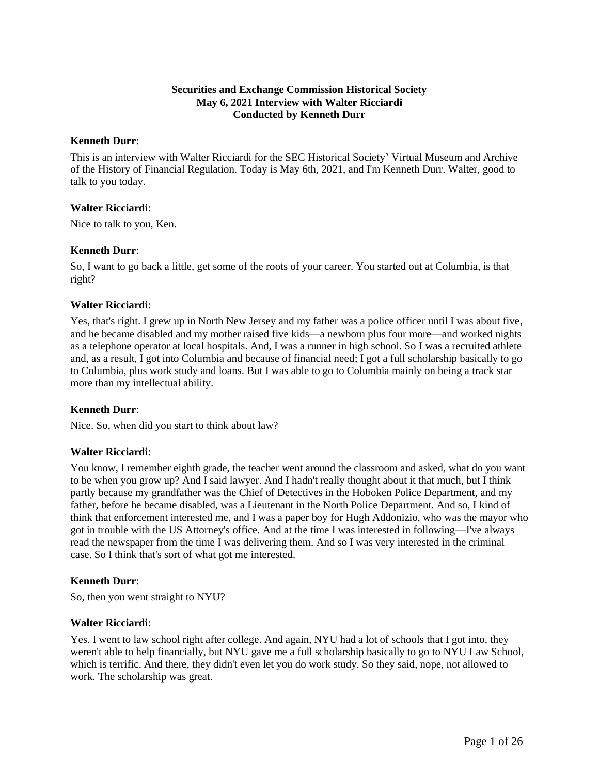## **Securities and Exchange Commission Historical Society May 6, 2021 Interview with Walter Ricciardi Conducted by Kenneth Durr**

#### **Kenneth Durr**:

This is an interview with Walter Ricciardi for the SEC Historical Society' Virtual Museum and Archive of the History of Financial Regulation. Today is May 6th, 2021, and I'm Kenneth Durr. Walter, good to talk to you today.

### **Walter Ricciardi**:

Nice to talk to you, Ken.

### **Kenneth Durr**:

So, I want to go back a little, get some of the roots of your career. You started out at Columbia, is that right?

### **Walter Ricciardi**:

Yes, that's right. I grew up in North New Jersey and my father was a police officer until I was about five, and he became disabled and my mother raised five kids—a newborn plus four more—and worked nights as a telephone operator at local hospitals. And, I was a runner in high school. So I was a recruited athlete and, as a result, I got into Columbia and because of financial need; I got a full scholarship basically to go to Columbia, plus work study and loans. But I was able to go to Columbia mainly on being a track star more than my intellectual ability.

### **Kenneth Durr**:

Nice. So, when did you start to think about law?

### **Walter Ricciardi**:

You know, I remember eighth grade, the teacher went around the classroom and asked, what do you want to be when you grow up? And I said lawyer. And I hadn't really thought about it that much, but I think partly because my grandfather was the Chief of Detectives in the Hoboken Police Department, and my father, before he became disabled, was a Lieutenant in the North Police Department. And so, I kind of think that enforcement interested me, and I was a paper boy for Hugh Addonizio, who was the mayor who got in trouble with the US Attorney's office. And at the time I was interested in following—I've always read the newspaper from the time I was delivering them. And so I was very interested in the criminal case. So I think that's sort of what got me interested.

### **Kenneth Durr**:

So, then you went straight to NYU?

### **Walter Ricciardi**:

Yes. I went to law school right after college. And again, NYU had a lot of schools that I got into, they weren't able to help financially, but NYU gave me a full scholarship basically to go to NYU Law School, which is terrific. And there, they didn't even let you do work study. So they said, nope, not allowed to work. The scholarship was great.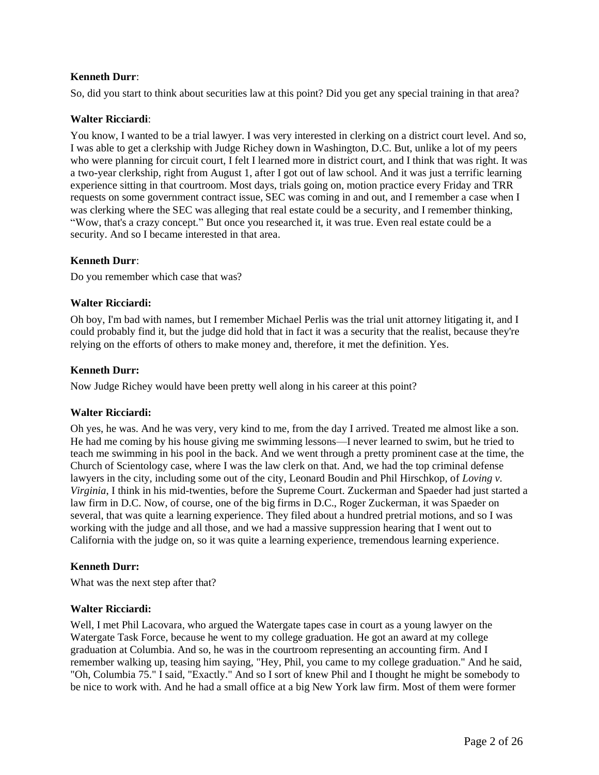So, did you start to think about securities law at this point? Did you get any special training in that area?

## **Walter Ricciardi**:

You know, I wanted to be a trial lawyer. I was very interested in clerking on a district court level. And so, I was able to get a clerkship with Judge Richey down in Washington, D.C. But, unlike a lot of my peers who were planning for circuit court, I felt I learned more in district court, and I think that was right. It was a two-year clerkship, right from August 1, after I got out of law school. And it was just a terrific learning experience sitting in that courtroom. Most days, trials going on, motion practice every Friday and TRR requests on some government contract issue, SEC was coming in and out, and I remember a case when I was clerking where the SEC was alleging that real estate could be a security, and I remember thinking, "Wow, that's a crazy concept." But once you researched it, it was true. Even real estate could be a security. And so I became interested in that area.

## **Kenneth Durr**:

Do you remember which case that was?

### **Walter Ricciardi:**

Oh boy, I'm bad with names, but I remember Michael Perlis was the trial unit attorney litigating it, and I could probably find it, but the judge did hold that in fact it was a security that the realist, because they're relying on the efforts of others to make money and, therefore, it met the definition. Yes.

### **Kenneth Durr:**

Now Judge Richey would have been pretty well along in his career at this point?

### **Walter Ricciardi:**

Oh yes, he was. And he was very, very kind to me, from the day I arrived. Treated me almost like a son. He had me coming by his house giving me swimming lessons—I never learned to swim, but he tried to teach me swimming in his pool in the back. And we went through a pretty prominent case at the time, the Church of Scientology case, where I was the law clerk on that. And, we had the top criminal defense lawyers in the city, including some out of the city, Leonard Boudin and Phil Hirschkop, of *Loving v. Virginia*, I think in his mid-twenties, before the Supreme Court. Zuckerman and Spaeder had just started a law firm in D.C. Now, of course, one of the big firms in D.C., Roger Zuckerman, it was Spaeder on several, that was quite a learning experience. They filed about a hundred pretrial motions, and so I was working with the judge and all those, and we had a massive suppression hearing that I went out to California with the judge on, so it was quite a learning experience, tremendous learning experience.

## **Kenneth Durr:**

What was the next step after that?

### **Walter Ricciardi:**

Well, I met Phil Lacovara, who argued the Watergate tapes case in court as a young lawyer on the Watergate Task Force, because he went to my college graduation. He got an award at my college graduation at Columbia. And so, he was in the courtroom representing an accounting firm. And I remember walking up, teasing him saying, "Hey, Phil, you came to my college graduation." And he said, "Oh, Columbia 75." I said, "Exactly." And so I sort of knew Phil and I thought he might be somebody to be nice to work with. And he had a small office at a big New York law firm. Most of them were former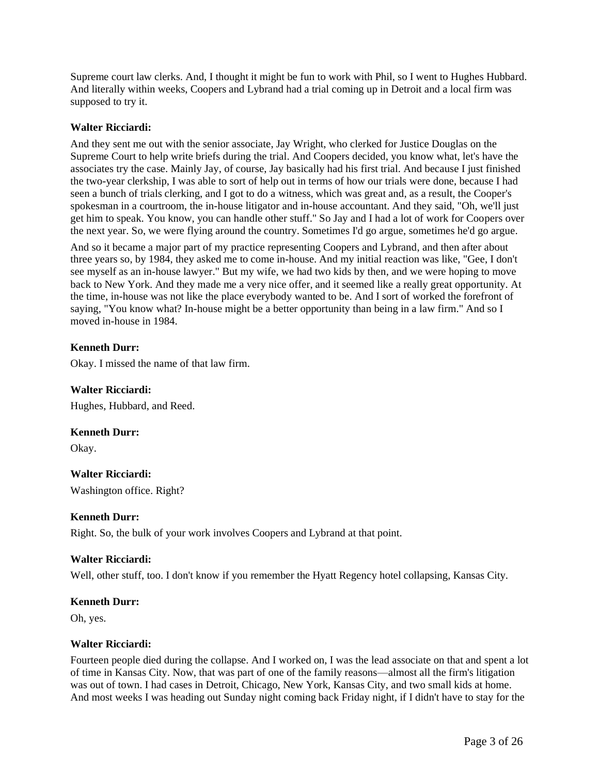Supreme court law clerks. And, I thought it might be fun to work with Phil, so I went to Hughes Hubbard. And literally within weeks, Coopers and Lybrand had a trial coming up in Detroit and a local firm was supposed to try it.

### **Walter Ricciardi:**

And they sent me out with the senior associate, Jay Wright, who clerked for Justice Douglas on the Supreme Court to help write briefs during the trial. And Coopers decided, you know what, let's have the associates try the case. Mainly Jay, of course, Jay basically had his first trial. And because I just finished the two-year clerkship, I was able to sort of help out in terms of how our trials were done, because I had seen a bunch of trials clerking, and I got to do a witness, which was great and, as a result, the Cooper's spokesman in a courtroom, the in-house litigator and in-house accountant. And they said, "Oh, we'll just get him to speak. You know, you can handle other stuff." So Jay and I had a lot of work for Coopers over the next year. So, we were flying around the country. Sometimes I'd go argue, sometimes he'd go argue.

And so it became a major part of my practice representing Coopers and Lybrand, and then after about three years so, by 1984, they asked me to come in-house. And my initial reaction was like, "Gee, I don't see myself as an in-house lawyer." But my wife, we had two kids by then, and we were hoping to move back to New York. And they made me a very nice offer, and it seemed like a really great opportunity. At the time, in-house was not like the place everybody wanted to be. And I sort of worked the forefront of saying, "You know what? In-house might be a better opportunity than being in a law firm." And so I moved in-house in 1984.

## **Kenneth Durr:**

Okay. I missed the name of that law firm.

### **Walter Ricciardi:**

Hughes, Hubbard, and Reed.

### **Kenneth Durr:**

Okay.

**Walter Ricciardi:** Washington office. Right?

### **Kenneth Durr:**

Right. So, the bulk of your work involves Coopers and Lybrand at that point.

### **Walter Ricciardi:**

Well, other stuff, too. I don't know if you remember the Hyatt Regency hotel collapsing, Kansas City.

#### **Kenneth Durr:**

Oh, yes.

### **Walter Ricciardi:**

Fourteen people died during the collapse. And I worked on, I was the lead associate on that and spent a lot of time in Kansas City. Now, that was part of one of the family reasons—almost all the firm's litigation was out of town. I had cases in Detroit, Chicago, New York, Kansas City, and two small kids at home. And most weeks I was heading out Sunday night coming back Friday night, if I didn't have to stay for the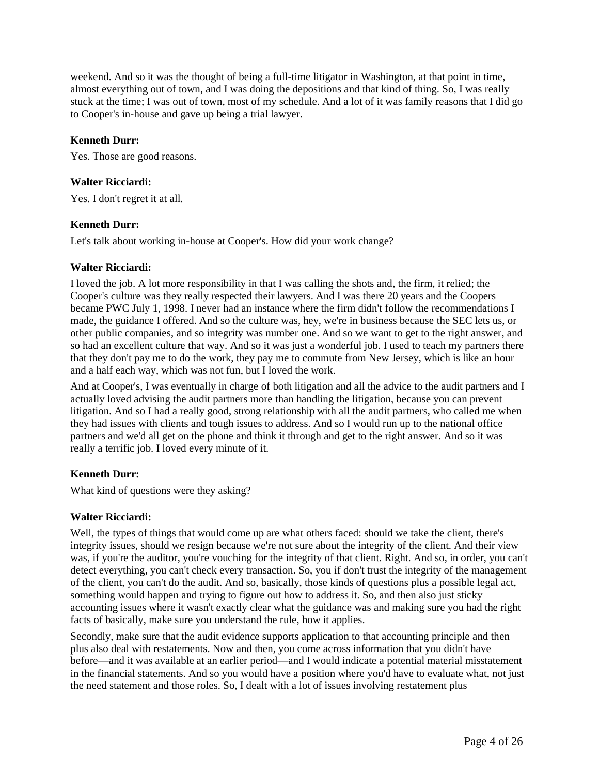weekend. And so it was the thought of being a full-time litigator in Washington, at that point in time, almost everything out of town, and I was doing the depositions and that kind of thing. So, I was really stuck at the time; I was out of town, most of my schedule. And a lot of it was family reasons that I did go to Cooper's in-house and gave up being a trial lawyer.

#### **Kenneth Durr:**

Yes. Those are good reasons.

#### **Walter Ricciardi:**

Yes. I don't regret it at all.

#### **Kenneth Durr:**

Let's talk about working in-house at Cooper's. How did your work change?

#### **Walter Ricciardi:**

I loved the job. A lot more responsibility in that I was calling the shots and, the firm, it relied; the Cooper's culture was they really respected their lawyers. And I was there 20 years and the Coopers became PWC July 1, 1998. I never had an instance where the firm didn't follow the recommendations I made, the guidance I offered. And so the culture was, hey, we're in business because the SEC lets us, or other public companies, and so integrity was number one. And so we want to get to the right answer, and so had an excellent culture that way. And so it was just a wonderful job. I used to teach my partners there that they don't pay me to do the work, they pay me to commute from New Jersey, which is like an hour and a half each way, which was not fun, but I loved the work.

And at Cooper's, I was eventually in charge of both litigation and all the advice to the audit partners and I actually loved advising the audit partners more than handling the litigation, because you can prevent litigation. And so I had a really good, strong relationship with all the audit partners, who called me when they had issues with clients and tough issues to address. And so I would run up to the national office partners and we'd all get on the phone and think it through and get to the right answer. And so it was really a terrific job. I loved every minute of it.

## **Kenneth Durr:**

What kind of questions were they asking?

### **Walter Ricciardi:**

Well, the types of things that would come up are what others faced: should we take the client, there's integrity issues, should we resign because we're not sure about the integrity of the client. And their view was, if you're the auditor, you're vouching for the integrity of that client. Right. And so, in order, you can't detect everything, you can't check every transaction. So, you if don't trust the integrity of the management of the client, you can't do the audit. And so, basically, those kinds of questions plus a possible legal act, something would happen and trying to figure out how to address it. So, and then also just sticky accounting issues where it wasn't exactly clear what the guidance was and making sure you had the right facts of basically, make sure you understand the rule, how it applies.

Secondly, make sure that the audit evidence supports application to that accounting principle and then plus also deal with restatements. Now and then, you come across information that you didn't have before—and it was available at an earlier period—and I would indicate a potential material misstatement in the financial statements. And so you would have a position where you'd have to evaluate what, not just the need statement and those roles. So, I dealt with a lot of issues involving restatement plus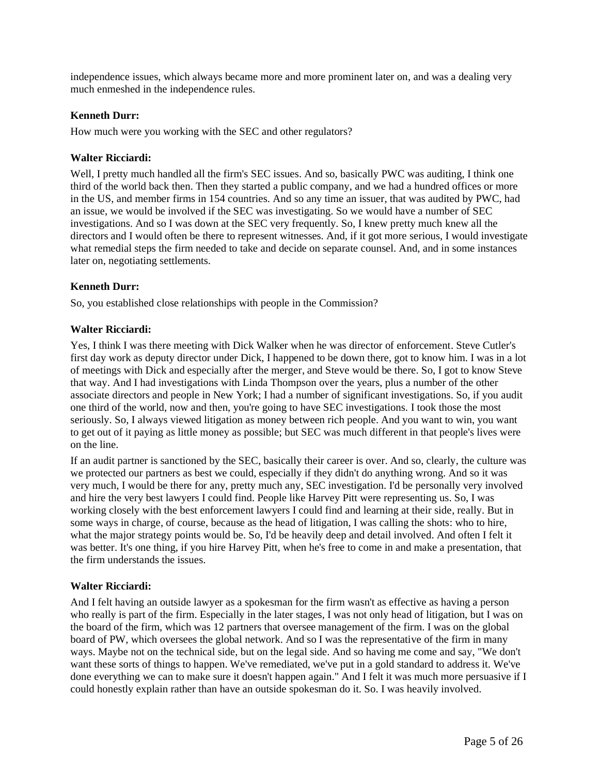independence issues, which always became more and more prominent later on, and was a dealing very much enmeshed in the independence rules.

#### **Kenneth Durr:**

How much were you working with the SEC and other regulators?

#### **Walter Ricciardi:**

Well, I pretty much handled all the firm's SEC issues. And so, basically PWC was auditing, I think one third of the world back then. Then they started a public company, and we had a hundred offices or more in the US, and member firms in 154 countries. And so any time an issuer, that was audited by PWC, had an issue, we would be involved if the SEC was investigating. So we would have a number of SEC investigations. And so I was down at the SEC very frequently. So, I knew pretty much knew all the directors and I would often be there to represent witnesses. And, if it got more serious, I would investigate what remedial steps the firm needed to take and decide on separate counsel. And, and in some instances later on, negotiating settlements.

#### **Kenneth Durr:**

So, you established close relationships with people in the Commission?

### **Walter Ricciardi:**

Yes, I think I was there meeting with Dick Walker when he was director of enforcement. Steve Cutler's first day work as deputy director under Dick, I happened to be down there, got to know him. I was in a lot of meetings with Dick and especially after the merger, and Steve would be there. So, I got to know Steve that way. And I had investigations with Linda Thompson over the years, plus a number of the other associate directors and people in New York; I had a number of significant investigations. So, if you audit one third of the world, now and then, you're going to have SEC investigations. I took those the most seriously. So, I always viewed litigation as money between rich people. And you want to win, you want to get out of it paying as little money as possible; but SEC was much different in that people's lives were on the line.

If an audit partner is sanctioned by the SEC, basically their career is over. And so, clearly, the culture was we protected our partners as best we could, especially if they didn't do anything wrong. And so it was very much, I would be there for any, pretty much any, SEC investigation. I'd be personally very involved and hire the very best lawyers I could find. People like Harvey Pitt were representing us. So, I was working closely with the best enforcement lawyers I could find and learning at their side, really. But in some ways in charge, of course, because as the head of litigation, I was calling the shots: who to hire, what the major strategy points would be. So, I'd be heavily deep and detail involved. And often I felt it was better. It's one thing, if you hire Harvey Pitt, when he's free to come in and make a presentation, that the firm understands the issues.

#### **Walter Ricciardi:**

And I felt having an outside lawyer as a spokesman for the firm wasn't as effective as having a person who really is part of the firm. Especially in the later stages, I was not only head of litigation, but I was on the board of the firm, which was 12 partners that oversee management of the firm. I was on the global board of PW, which oversees the global network. And so I was the representative of the firm in many ways. Maybe not on the technical side, but on the legal side. And so having me come and say, "We don't want these sorts of things to happen. We've remediated, we've put in a gold standard to address it. We've done everything we can to make sure it doesn't happen again." And I felt it was much more persuasive if I could honestly explain rather than have an outside spokesman do it. So. I was heavily involved.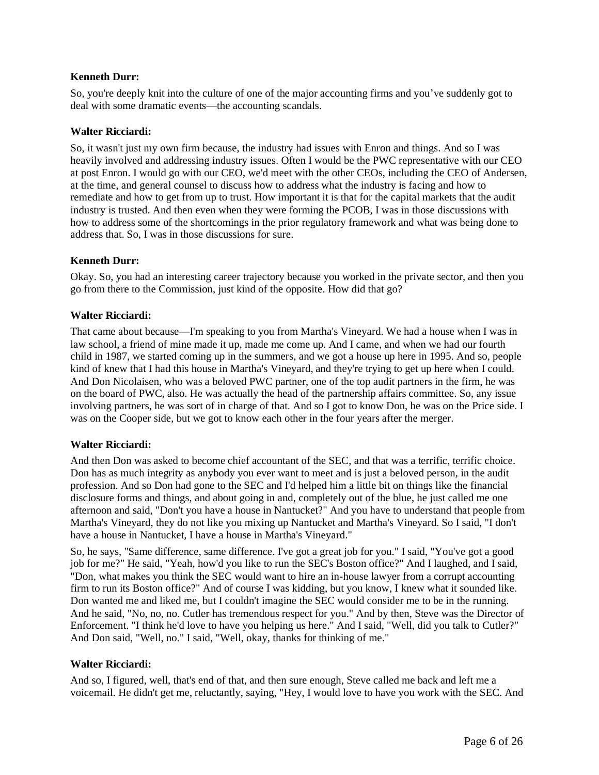So, you're deeply knit into the culture of one of the major accounting firms and you've suddenly got to deal with some dramatic events—the accounting scandals.

## **Walter Ricciardi:**

So, it wasn't just my own firm because, the industry had issues with Enron and things. And so I was heavily involved and addressing industry issues. Often I would be the PWC representative with our CEO at post Enron. I would go with our CEO, we'd meet with the other CEOs, including the CEO of Andersen, at the time, and general counsel to discuss how to address what the industry is facing and how to remediate and how to get from up to trust. How important it is that for the capital markets that the audit industry is trusted. And then even when they were forming the PCOB, I was in those discussions with how to address some of the shortcomings in the prior regulatory framework and what was being done to address that. So, I was in those discussions for sure.

## **Kenneth Durr:**

Okay. So, you had an interesting career trajectory because you worked in the private sector, and then you go from there to the Commission, just kind of the opposite. How did that go?

## **Walter Ricciardi:**

That came about because—I'm speaking to you from Martha's Vineyard. We had a house when I was in law school, a friend of mine made it up, made me come up. And I came, and when we had our fourth child in 1987, we started coming up in the summers, and we got a house up here in 1995. And so, people kind of knew that I had this house in Martha's Vineyard, and they're trying to get up here when I could. And Don Nicolaisen, who was a beloved PWC partner, one of the top audit partners in the firm, he was on the board of PWC, also. He was actually the head of the partnership affairs committee. So, any issue involving partners, he was sort of in charge of that. And so I got to know Don, he was on the Price side. I was on the Cooper side, but we got to know each other in the four years after the merger.

### **Walter Ricciardi:**

And then Don was asked to become chief accountant of the SEC, and that was a terrific, terrific choice. Don has as much integrity as anybody you ever want to meet and is just a beloved person, in the audit profession. And so Don had gone to the SEC and I'd helped him a little bit on things like the financial disclosure forms and things, and about going in and, completely out of the blue, he just called me one afternoon and said, "Don't you have a house in Nantucket?" And you have to understand that people from Martha's Vineyard, they do not like you mixing up Nantucket and Martha's Vineyard. So I said, "I don't have a house in Nantucket, I have a house in Martha's Vineyard."

So, he says, "Same difference, same difference. I've got a great job for you." I said, "You've got a good job for me?" He said, "Yeah, how'd you like to run the SEC's Boston office?" And I laughed, and I said, "Don, what makes you think the SEC would want to hire an in-house lawyer from a corrupt accounting firm to run its Boston office?" And of course I was kidding, but you know, I knew what it sounded like. Don wanted me and liked me, but I couldn't imagine the SEC would consider me to be in the running. And he said, "No, no, no. Cutler has tremendous respect for you." And by then, Steve was the Director of Enforcement. "I think he'd love to have you helping us here." And I said, "Well, did you talk to Cutler?" And Don said, "Well, no." I said, "Well, okay, thanks for thinking of me."

### **Walter Ricciardi:**

And so, I figured, well, that's end of that, and then sure enough, Steve called me back and left me a voicemail. He didn't get me, reluctantly, saying, "Hey, I would love to have you work with the SEC. And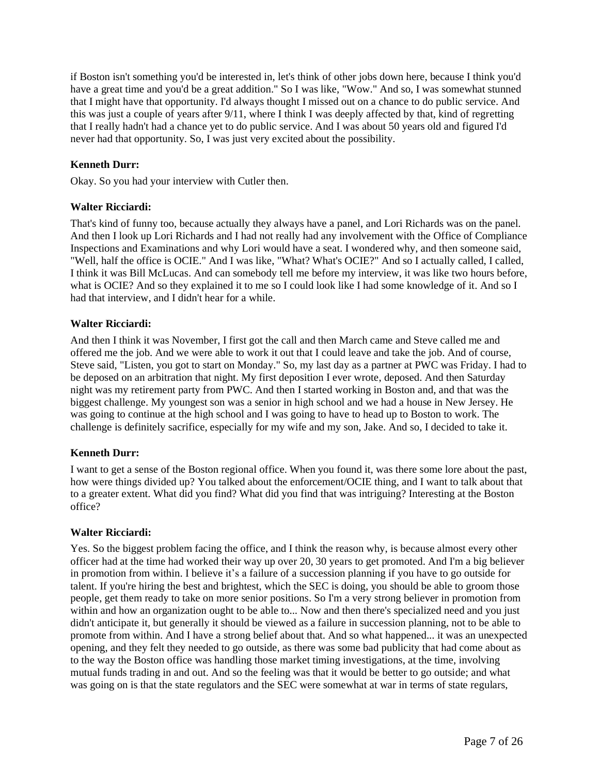if Boston isn't something you'd be interested in, let's think of other jobs down here, because I think you'd have a great time and you'd be a great addition." So I was like, "Wow." And so, I was somewhat stunned that I might have that opportunity. I'd always thought I missed out on a chance to do public service. And this was just a couple of years after 9/11, where I think I was deeply affected by that, kind of regretting that I really hadn't had a chance yet to do public service. And I was about 50 years old and figured I'd never had that opportunity. So, I was just very excited about the possibility.

## **Kenneth Durr:**

Okay. So you had your interview with Cutler then.

## **Walter Ricciardi:**

That's kind of funny too, because actually they always have a panel, and Lori Richards was on the panel. And then I look up Lori Richards and I had not really had any involvement with the Office of Compliance Inspections and Examinations and why Lori would have a seat. I wondered why, and then someone said, "Well, half the office is OCIE." And I was like, "What? What's OCIE?" And so I actually called, I called, I think it was Bill McLucas. And can somebody tell me before my interview, it was like two hours before, what is OCIE? And so they explained it to me so I could look like I had some knowledge of it. And so I had that interview, and I didn't hear for a while.

### **Walter Ricciardi:**

And then I think it was November, I first got the call and then March came and Steve called me and offered me the job. And we were able to work it out that I could leave and take the job. And of course, Steve said, "Listen, you got to start on Monday." So, my last day as a partner at PWC was Friday. I had to be deposed on an arbitration that night. My first deposition I ever wrote, deposed. And then Saturday night was my retirement party from PWC. And then I started working in Boston and, and that was the biggest challenge. My youngest son was a senior in high school and we had a house in New Jersey. He was going to continue at the high school and I was going to have to head up to Boston to work. The challenge is definitely sacrifice, especially for my wife and my son, Jake. And so, I decided to take it.

### **Kenneth Durr:**

I want to get a sense of the Boston regional office. When you found it, was there some lore about the past, how were things divided up? You talked about the enforcement/OCIE thing, and I want to talk about that to a greater extent. What did you find? What did you find that was intriguing? Interesting at the Boston office?

### **Walter Ricciardi:**

Yes. So the biggest problem facing the office, and I think the reason why, is because almost every other officer had at the time had worked their way up over 20, 30 years to get promoted. And I'm a big believer in promotion from within. I believe it's a failure of a succession planning if you have to go outside for talent. If you're hiring the best and brightest, which the SEC is doing, you should be able to groom those people, get them ready to take on more senior positions. So I'm a very strong believer in promotion from within and how an organization ought to be able to... Now and then there's specialized need and you just didn't anticipate it, but generally it should be viewed as a failure in succession planning, not to be able to promote from within. And I have a strong belief about that. And so what happened... it was an unexpected opening, and they felt they needed to go outside, as there was some bad publicity that had come about as to the way the Boston office was handling those market timing investigations, at the time, involving mutual funds trading in and out. And so the feeling was that it would be better to go outside; and what was going on is that the state regulators and the SEC were somewhat at war in terms of state regulars,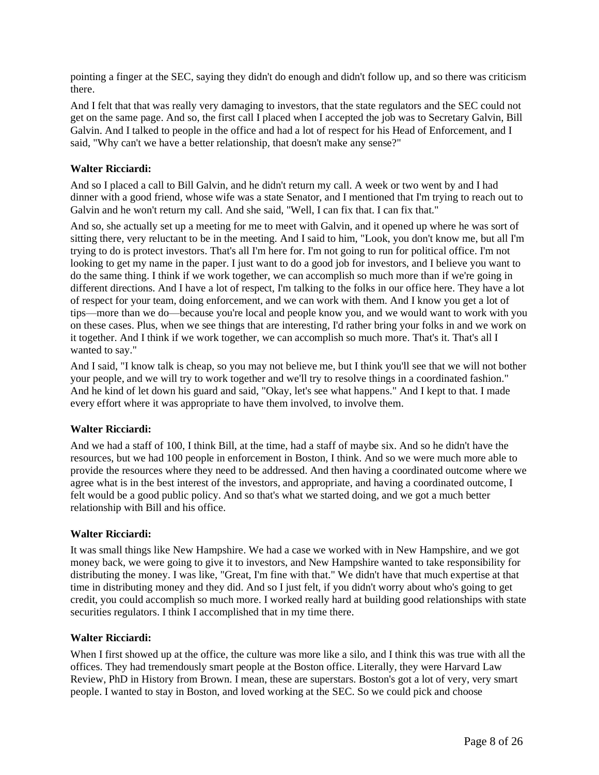pointing a finger at the SEC, saying they didn't do enough and didn't follow up, and so there was criticism there.

And I felt that that was really very damaging to investors, that the state regulators and the SEC could not get on the same page. And so, the first call I placed when I accepted the job was to Secretary Galvin, Bill Galvin. And I talked to people in the office and had a lot of respect for his Head of Enforcement, and I said, "Why can't we have a better relationship, that doesn't make any sense?"

#### **Walter Ricciardi:**

And so I placed a call to Bill Galvin, and he didn't return my call. A week or two went by and I had dinner with a good friend, whose wife was a state Senator, and I mentioned that I'm trying to reach out to Galvin and he won't return my call. And she said, "Well, I can fix that. I can fix that."

And so, she actually set up a meeting for me to meet with Galvin, and it opened up where he was sort of sitting there, very reluctant to be in the meeting. And I said to him, "Look, you don't know me, but all I'm trying to do is protect investors. That's all I'm here for. I'm not going to run for political office. I'm not looking to get my name in the paper. I just want to do a good job for investors, and I believe you want to do the same thing. I think if we work together, we can accomplish so much more than if we're going in different directions. And I have a lot of respect, I'm talking to the folks in our office here. They have a lot of respect for your team, doing enforcement, and we can work with them. And I know you get a lot of tips—more than we do—because you're local and people know you, and we would want to work with you on these cases. Plus, when we see things that are interesting, I'd rather bring your folks in and we work on it together. And I think if we work together, we can accomplish so much more. That's it. That's all I wanted to say."

And I said, "I know talk is cheap, so you may not believe me, but I think you'll see that we will not bother your people, and we will try to work together and we'll try to resolve things in a coordinated fashion." And he kind of let down his guard and said, "Okay, let's see what happens." And I kept to that. I made every effort where it was appropriate to have them involved, to involve them.

#### **Walter Ricciardi:**

And we had a staff of 100, I think Bill, at the time, had a staff of maybe six. And so he didn't have the resources, but we had 100 people in enforcement in Boston, I think. And so we were much more able to provide the resources where they need to be addressed. And then having a coordinated outcome where we agree what is in the best interest of the investors, and appropriate, and having a coordinated outcome, I felt would be a good public policy. And so that's what we started doing, and we got a much better relationship with Bill and his office.

#### **Walter Ricciardi:**

It was small things like New Hampshire. We had a case we worked with in New Hampshire, and we got money back, we were going to give it to investors, and New Hampshire wanted to take responsibility for distributing the money. I was like, "Great, I'm fine with that." We didn't have that much expertise at that time in distributing money and they did. And so I just felt, if you didn't worry about who's going to get credit, you could accomplish so much more. I worked really hard at building good relationships with state securities regulators. I think I accomplished that in my time there.

### **Walter Ricciardi:**

When I first showed up at the office, the culture was more like a silo, and I think this was true with all the offices. They had tremendously smart people at the Boston office. Literally, they were Harvard Law Review, PhD in History from Brown. I mean, these are superstars. Boston's got a lot of very, very smart people. I wanted to stay in Boston, and loved working at the SEC. So we could pick and choose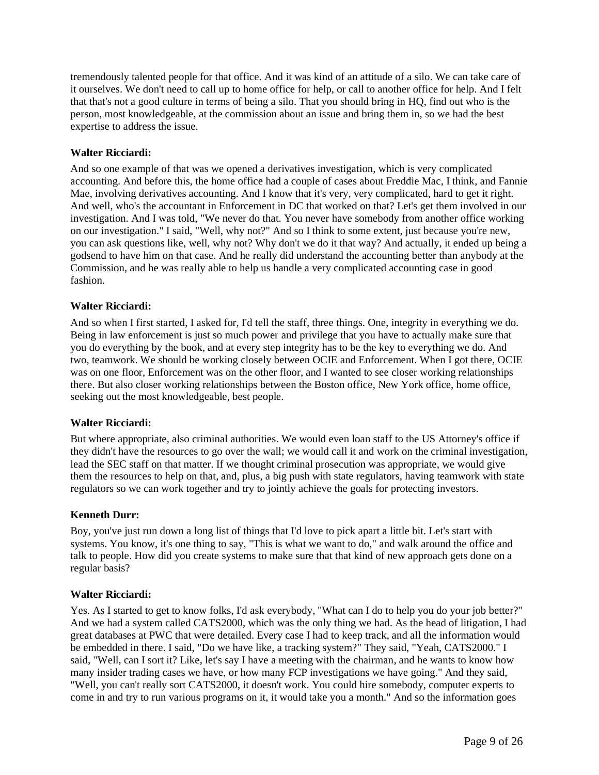tremendously talented people for that office. And it was kind of an attitude of a silo. We can take care of it ourselves. We don't need to call up to home office for help, or call to another office for help. And I felt that that's not a good culture in terms of being a silo. That you should bring in HQ, find out who is the person, most knowledgeable, at the commission about an issue and bring them in, so we had the best expertise to address the issue.

### **Walter Ricciardi:**

And so one example of that was we opened a derivatives investigation, which is very complicated accounting. And before this, the home office had a couple of cases about Freddie Mac, I think, and Fannie Mae, involving derivatives accounting. And I know that it's very, very complicated, hard to get it right. And well, who's the accountant in Enforcement in DC that worked on that? Let's get them involved in our investigation. And I was told, "We never do that. You never have somebody from another office working on our investigation." I said, "Well, why not?" And so I think to some extent, just because you're new, you can ask questions like, well, why not? Why don't we do it that way? And actually, it ended up being a godsend to have him on that case. And he really did understand the accounting better than anybody at the Commission, and he was really able to help us handle a very complicated accounting case in good fashion.

#### **Walter Ricciardi:**

And so when I first started, I asked for, I'd tell the staff, three things. One, integrity in everything we do. Being in law enforcement is just so much power and privilege that you have to actually make sure that you do everything by the book, and at every step integrity has to be the key to everything we do. And two, teamwork. We should be working closely between OCIE and Enforcement. When I got there, OCIE was on one floor, Enforcement was on the other floor, and I wanted to see closer working relationships there. But also closer working relationships between the Boston office, New York office, home office, seeking out the most knowledgeable, best people.

### **Walter Ricciardi:**

But where appropriate, also criminal authorities. We would even loan staff to the US Attorney's office if they didn't have the resources to go over the wall; we would call it and work on the criminal investigation, lead the SEC staff on that matter. If we thought criminal prosecution was appropriate, we would give them the resources to help on that, and, plus, a big push with state regulators, having teamwork with state regulators so we can work together and try to jointly achieve the goals for protecting investors.

### **Kenneth Durr:**

Boy, you've just run down a long list of things that I'd love to pick apart a little bit. Let's start with systems. You know, it's one thing to say, "This is what we want to do," and walk around the office and talk to people. How did you create systems to make sure that that kind of new approach gets done on a regular basis?

### **Walter Ricciardi:**

Yes. As I started to get to know folks, I'd ask everybody, "What can I do to help you do your job better?" And we had a system called CATS2000, which was the only thing we had. As the head of litigation, I had great databases at PWC that were detailed. Every case I had to keep track, and all the information would be embedded in there. I said, "Do we have like, a tracking system?" They said, "Yeah, CATS2000." I said, "Well, can I sort it? Like, let's say I have a meeting with the chairman, and he wants to know how many insider trading cases we have, or how many FCP investigations we have going." And they said, "Well, you can't really sort CATS2000, it doesn't work. You could hire somebody, computer experts to come in and try to run various programs on it, it would take you a month." And so the information goes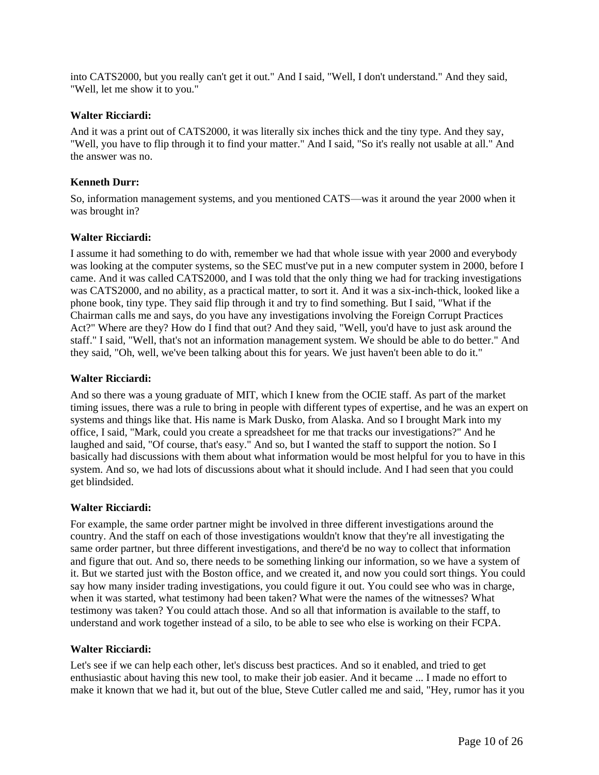into CATS2000, but you really can't get it out." And I said, "Well, I don't understand." And they said, "Well, let me show it to you."

#### **Walter Ricciardi:**

And it was a print out of CATS2000, it was literally six inches thick and the tiny type. And they say, "Well, you have to flip through it to find your matter." And I said, "So it's really not usable at all." And the answer was no.

#### **Kenneth Durr:**

So, information management systems, and you mentioned CATS—was it around the year 2000 when it was brought in?

### **Walter Ricciardi:**

I assume it had something to do with, remember we had that whole issue with year 2000 and everybody was looking at the computer systems, so the SEC must've put in a new computer system in 2000, before I came. And it was called CATS2000, and I was told that the only thing we had for tracking investigations was CATS2000, and no ability, as a practical matter, to sort it. And it was a six-inch-thick, looked like a phone book, tiny type. They said flip through it and try to find something. But I said, "What if the Chairman calls me and says, do you have any investigations involving the Foreign Corrupt Practices Act?" Where are they? How do I find that out? And they said, "Well, you'd have to just ask around the staff." I said, "Well, that's not an information management system. We should be able to do better." And they said, "Oh, well, we've been talking about this for years. We just haven't been able to do it."

## **Walter Ricciardi:**

And so there was a young graduate of MIT, which I knew from the OCIE staff. As part of the market timing issues, there was a rule to bring in people with different types of expertise, and he was an expert on systems and things like that. His name is Mark Dusko, from Alaska. And so I brought Mark into my office, I said, "Mark, could you create a spreadsheet for me that tracks our investigations?" And he laughed and said, "Of course, that's easy." And so, but I wanted the staff to support the notion. So I basically had discussions with them about what information would be most helpful for you to have in this system. And so, we had lots of discussions about what it should include. And I had seen that you could get blindsided.

### **Walter Ricciardi:**

For example, the same order partner might be involved in three different investigations around the country. And the staff on each of those investigations wouldn't know that they're all investigating the same order partner, but three different investigations, and there'd be no way to collect that information and figure that out. And so, there needs to be something linking our information, so we have a system of it. But we started just with the Boston office, and we created it, and now you could sort things. You could say how many insider trading investigations, you could figure it out. You could see who was in charge, when it was started, what testimony had been taken? What were the names of the witnesses? What testimony was taken? You could attach those. And so all that information is available to the staff, to understand and work together instead of a silo, to be able to see who else is working on their FCPA.

### **Walter Ricciardi:**

Let's see if we can help each other, let's discuss best practices. And so it enabled, and tried to get enthusiastic about having this new tool, to make their job easier. And it became ... I made no effort to make it known that we had it, but out of the blue, Steve Cutler called me and said, "Hey, rumor has it you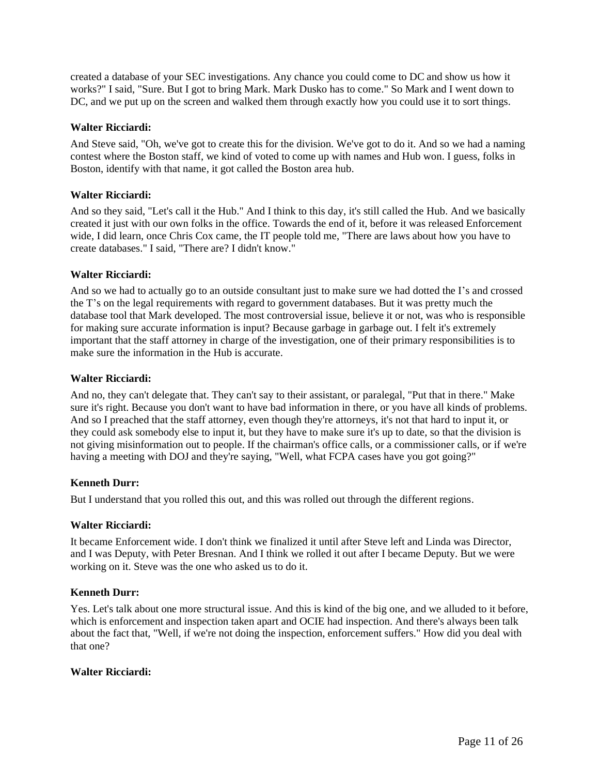created a database of your SEC investigations. Any chance you could come to DC and show us how it works?" I said, "Sure. But I got to bring Mark. Mark Dusko has to come." So Mark and I went down to DC, and we put up on the screen and walked them through exactly how you could use it to sort things.

#### **Walter Ricciardi:**

And Steve said, "Oh, we've got to create this for the division. We've got to do it. And so we had a naming contest where the Boston staff, we kind of voted to come up with names and Hub won. I guess, folks in Boston, identify with that name, it got called the Boston area hub.

#### **Walter Ricciardi:**

And so they said, "Let's call it the Hub." And I think to this day, it's still called the Hub. And we basically created it just with our own folks in the office. Towards the end of it, before it was released Enforcement wide, I did learn, once Chris Cox came, the IT people told me, "There are laws about how you have to create databases." I said, "There are? I didn't know."

#### **Walter Ricciardi:**

And so we had to actually go to an outside consultant just to make sure we had dotted the I's and crossed the T's on the legal requirements with regard to government databases. But it was pretty much the database tool that Mark developed. The most controversial issue, believe it or not, was who is responsible for making sure accurate information is input? Because garbage in garbage out. I felt it's extremely important that the staff attorney in charge of the investigation, one of their primary responsibilities is to make sure the information in the Hub is accurate.

#### **Walter Ricciardi:**

And no, they can't delegate that. They can't say to their assistant, or paralegal, "Put that in there." Make sure it's right. Because you don't want to have bad information in there, or you have all kinds of problems. And so I preached that the staff attorney, even though they're attorneys, it's not that hard to input it, or they could ask somebody else to input it, but they have to make sure it's up to date, so that the division is not giving misinformation out to people. If the chairman's office calls, or a commissioner calls, or if we're having a meeting with DOJ and they're saying, "Well, what FCPA cases have you got going?"

### **Kenneth Durr:**

But I understand that you rolled this out, and this was rolled out through the different regions.

### **Walter Ricciardi:**

It became Enforcement wide. I don't think we finalized it until after Steve left and Linda was Director, and I was Deputy, with Peter Bresnan. And I think we rolled it out after I became Deputy. But we were working on it. Steve was the one who asked us to do it.

### **Kenneth Durr:**

Yes. Let's talk about one more structural issue. And this is kind of the big one, and we alluded to it before, which is enforcement and inspection taken apart and OCIE had inspection. And there's always been talk about the fact that, "Well, if we're not doing the inspection, enforcement suffers." How did you deal with that one?

### **Walter Ricciardi:**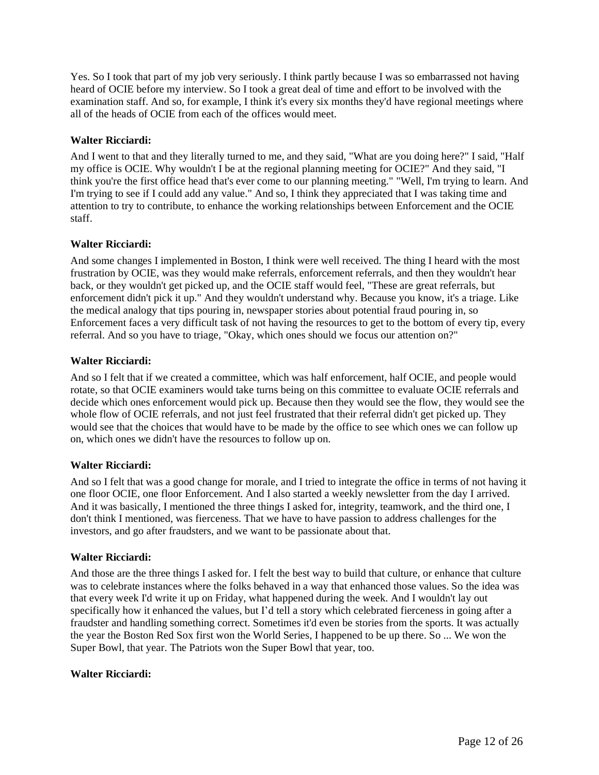Yes. So I took that part of my job very seriously. I think partly because I was so embarrassed not having heard of OCIE before my interview. So I took a great deal of time and effort to be involved with the examination staff. And so, for example, I think it's every six months they'd have regional meetings where all of the heads of OCIE from each of the offices would meet.

## **Walter Ricciardi:**

And I went to that and they literally turned to me, and they said, "What are you doing here?" I said, "Half my office is OCIE. Why wouldn't I be at the regional planning meeting for OCIE?" And they said, "I think you're the first office head that's ever come to our planning meeting." "Well, I'm trying to learn. And I'm trying to see if I could add any value." And so, I think they appreciated that I was taking time and attention to try to contribute, to enhance the working relationships between Enforcement and the OCIE staff.

### **Walter Ricciardi:**

And some changes I implemented in Boston, I think were well received. The thing I heard with the most frustration by OCIE, was they would make referrals, enforcement referrals, and then they wouldn't hear back, or they wouldn't get picked up, and the OCIE staff would feel, "These are great referrals, but enforcement didn't pick it up." And they wouldn't understand why. Because you know, it's a triage. Like the medical analogy that tips pouring in, newspaper stories about potential fraud pouring in, so Enforcement faces a very difficult task of not having the resources to get to the bottom of every tip, every referral. And so you have to triage, "Okay, which ones should we focus our attention on?"

## **Walter Ricciardi:**

And so I felt that if we created a committee, which was half enforcement, half OCIE, and people would rotate, so that OCIE examiners would take turns being on this committee to evaluate OCIE referrals and decide which ones enforcement would pick up. Because then they would see the flow, they would see the whole flow of OCIE referrals, and not just feel frustrated that their referral didn't get picked up. They would see that the choices that would have to be made by the office to see which ones we can follow up on, which ones we didn't have the resources to follow up on.

## **Walter Ricciardi:**

And so I felt that was a good change for morale, and I tried to integrate the office in terms of not having it one floor OCIE, one floor Enforcement. And I also started a weekly newsletter from the day I arrived. And it was basically, I mentioned the three things I asked for, integrity, teamwork, and the third one, I don't think I mentioned, was fierceness. That we have to have passion to address challenges for the investors, and go after fraudsters, and we want to be passionate about that.

### **Walter Ricciardi:**

And those are the three things I asked for. I felt the best way to build that culture, or enhance that culture was to celebrate instances where the folks behaved in a way that enhanced those values. So the idea was that every week I'd write it up on Friday, what happened during the week. And I wouldn't lay out specifically how it enhanced the values, but I'd tell a story which celebrated fierceness in going after a fraudster and handling something correct. Sometimes it'd even be stories from the sports. It was actually the year the Boston Red Sox first won the World Series, I happened to be up there. So ... We won the Super Bowl, that year. The Patriots won the Super Bowl that year, too.

### **Walter Ricciardi:**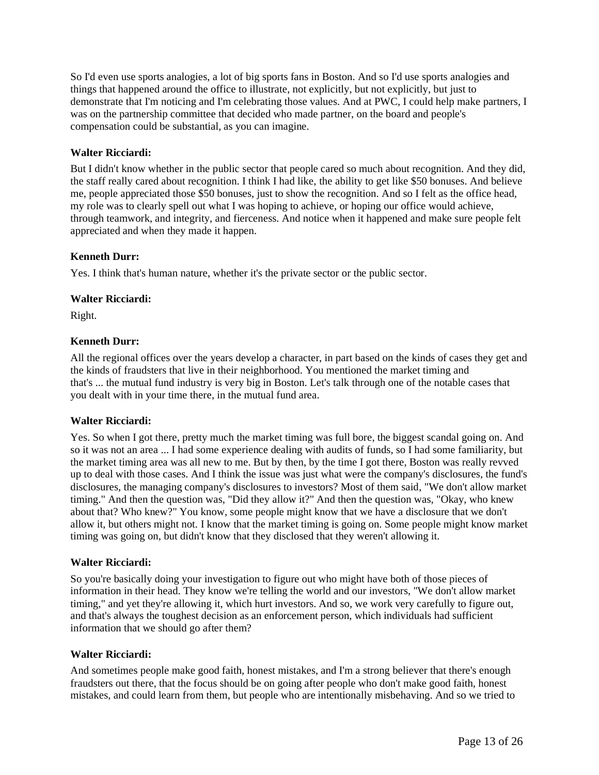So I'd even use sports analogies, a lot of big sports fans in Boston. And so I'd use sports analogies and things that happened around the office to illustrate, not explicitly, but not explicitly, but just to demonstrate that I'm noticing and I'm celebrating those values. And at PWC, I could help make partners, I was on the partnership committee that decided who made partner, on the board and people's compensation could be substantial, as you can imagine.

## **Walter Ricciardi:**

But I didn't know whether in the public sector that people cared so much about recognition. And they did, the staff really cared about recognition. I think I had like, the ability to get like \$50 bonuses. And believe me, people appreciated those \$50 bonuses, just to show the recognition. And so I felt as the office head, my role was to clearly spell out what I was hoping to achieve, or hoping our office would achieve, through teamwork, and integrity, and fierceness. And notice when it happened and make sure people felt appreciated and when they made it happen.

## **Kenneth Durr:**

Yes. I think that's human nature, whether it's the private sector or the public sector.

## **Walter Ricciardi:**

Right.

## **Kenneth Durr:**

All the regional offices over the years develop a character, in part based on the kinds of cases they get and the kinds of fraudsters that live in their neighborhood. You mentioned the market timing and that's ... the mutual fund industry is very big in Boston. Let's talk through one of the notable cases that you dealt with in your time there, in the mutual fund area.

### **Walter Ricciardi:**

Yes. So when I got there, pretty much the market timing was full bore, the biggest scandal going on. And so it was not an area ... I had some experience dealing with audits of funds, so I had some familiarity, but the market timing area was all new to me. But by then, by the time I got there, Boston was really revved up to deal with those cases. And I think the issue was just what were the company's disclosures, the fund's disclosures, the managing company's disclosures to investors? Most of them said, "We don't allow market timing." And then the question was, "Did they allow it?" And then the question was, "Okay, who knew about that? Who knew?" You know, some people might know that we have a disclosure that we don't allow it, but others might not. I know that the market timing is going on. Some people might know market timing was going on, but didn't know that they disclosed that they weren't allowing it.

### **Walter Ricciardi:**

So you're basically doing your investigation to figure out who might have both of those pieces of information in their head. They know we're telling the world and our investors, "We don't allow market timing," and yet they're allowing it, which hurt investors. And so, we work very carefully to figure out, and that's always the toughest decision as an enforcement person, which individuals had sufficient information that we should go after them?

### **Walter Ricciardi:**

And sometimes people make good faith, honest mistakes, and I'm a strong believer that there's enough fraudsters out there, that the focus should be on going after people who don't make good faith, honest mistakes, and could learn from them, but people who are intentionally misbehaving. And so we tried to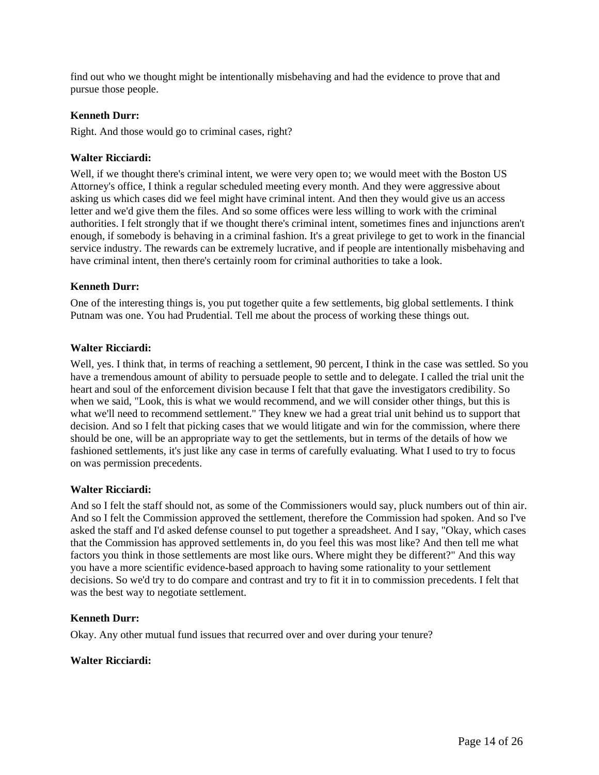find out who we thought might be intentionally misbehaving and had the evidence to prove that and pursue those people.

#### **Kenneth Durr:**

Right. And those would go to criminal cases, right?

#### **Walter Ricciardi:**

Well, if we thought there's criminal intent, we were very open to; we would meet with the Boston US Attorney's office, I think a regular scheduled meeting every month. And they were aggressive about asking us which cases did we feel might have criminal intent. And then they would give us an access letter and we'd give them the files. And so some offices were less willing to work with the criminal authorities. I felt strongly that if we thought there's criminal intent, sometimes fines and injunctions aren't enough, if somebody is behaving in a criminal fashion. It's a great privilege to get to work in the financial service industry. The rewards can be extremely lucrative, and if people are intentionally misbehaving and have criminal intent, then there's certainly room for criminal authorities to take a look.

#### **Kenneth Durr:**

One of the interesting things is, you put together quite a few settlements, big global settlements. I think Putnam was one. You had Prudential. Tell me about the process of working these things out.

#### **Walter Ricciardi:**

Well, yes. I think that, in terms of reaching a settlement, 90 percent, I think in the case was settled. So you have a tremendous amount of ability to persuade people to settle and to delegate. I called the trial unit the heart and soul of the enforcement division because I felt that that gave the investigators credibility. So when we said, "Look, this is what we would recommend, and we will consider other things, but this is what we'll need to recommend settlement." They knew we had a great trial unit behind us to support that decision. And so I felt that picking cases that we would litigate and win for the commission, where there should be one, will be an appropriate way to get the settlements, but in terms of the details of how we fashioned settlements, it's just like any case in terms of carefully evaluating. What I used to try to focus on was permission precedents.

### **Walter Ricciardi:**

And so I felt the staff should not, as some of the Commissioners would say, pluck numbers out of thin air. And so I felt the Commission approved the settlement, therefore the Commission had spoken. And so I've asked the staff and I'd asked defense counsel to put together a spreadsheet. And I say, "Okay, which cases that the Commission has approved settlements in, do you feel this was most like? And then tell me what factors you think in those settlements are most like ours. Where might they be different?" And this way you have a more scientific evidence-based approach to having some rationality to your settlement decisions. So we'd try to do compare and contrast and try to fit it in to commission precedents. I felt that was the best way to negotiate settlement.

#### **Kenneth Durr:**

Okay. Any other mutual fund issues that recurred over and over during your tenure?

#### **Walter Ricciardi:**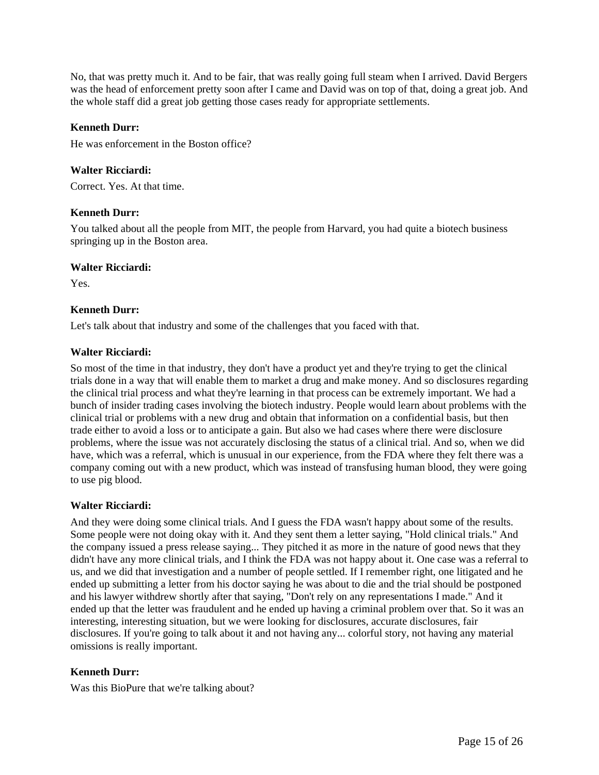No, that was pretty much it. And to be fair, that was really going full steam when I arrived. David Bergers was the head of enforcement pretty soon after I came and David was on top of that, doing a great job. And the whole staff did a great job getting those cases ready for appropriate settlements.

### **Kenneth Durr:**

He was enforcement in the Boston office?

### **Walter Ricciardi:**

Correct. Yes. At that time.

### **Kenneth Durr:**

You talked about all the people from MIT, the people from Harvard, you had quite a biotech business springing up in the Boston area.

#### **Walter Ricciardi:**

Yes.

### **Kenneth Durr:**

Let's talk about that industry and some of the challenges that you faced with that.

### **Walter Ricciardi:**

So most of the time in that industry, they don't have a product yet and they're trying to get the clinical trials done in a way that will enable them to market a drug and make money. And so disclosures regarding the clinical trial process and what they're learning in that process can be extremely important. We had a bunch of insider trading cases involving the biotech industry. People would learn about problems with the clinical trial or problems with a new drug and obtain that information on a confidential basis, but then trade either to avoid a loss or to anticipate a gain. But also we had cases where there were disclosure problems, where the issue was not accurately disclosing the status of a clinical trial. And so, when we did have, which was a referral, which is unusual in our experience, from the FDA where they felt there was a company coming out with a new product, which was instead of transfusing human blood, they were going to use pig blood.

### **Walter Ricciardi:**

And they were doing some clinical trials. And I guess the FDA wasn't happy about some of the results. Some people were not doing okay with it. And they sent them a letter saying, "Hold clinical trials." And the company issued a press release saying... They pitched it as more in the nature of good news that they didn't have any more clinical trials, and I think the FDA was not happy about it. One case was a referral to us, and we did that investigation and a number of people settled. If I remember right, one litigated and he ended up submitting a letter from his doctor saying he was about to die and the trial should be postponed and his lawyer withdrew shortly after that saying, "Don't rely on any representations I made." And it ended up that the letter was fraudulent and he ended up having a criminal problem over that. So it was an interesting, interesting situation, but we were looking for disclosures, accurate disclosures, fair disclosures. If you're going to talk about it and not having any... colorful story, not having any material omissions is really important.

### **Kenneth Durr:**

Was this BioPure that we're talking about?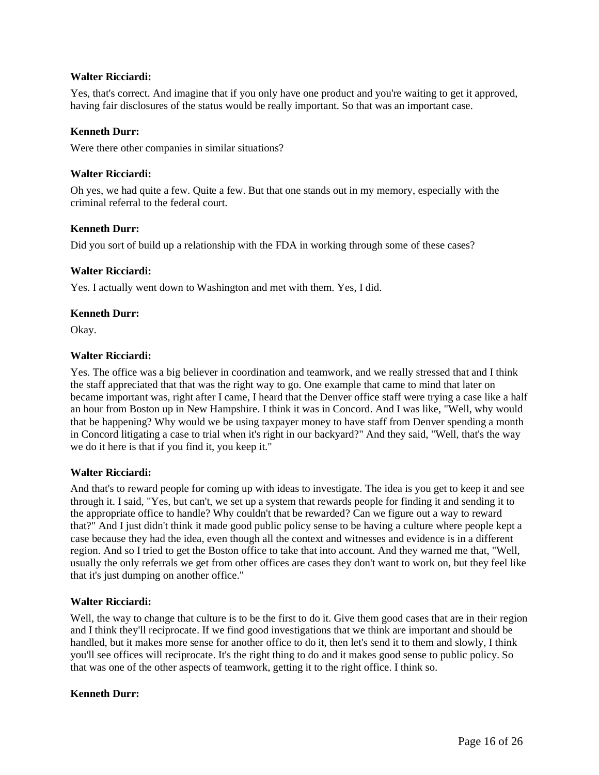### **Walter Ricciardi:**

Yes, that's correct. And imagine that if you only have one product and you're waiting to get it approved, having fair disclosures of the status would be really important. So that was an important case.

#### **Kenneth Durr:**

Were there other companies in similar situations?

#### **Walter Ricciardi:**

Oh yes, we had quite a few. Quite a few. But that one stands out in my memory, especially with the criminal referral to the federal court.

#### **Kenneth Durr:**

Did you sort of build up a relationship with the FDA in working through some of these cases?

#### **Walter Ricciardi:**

Yes. I actually went down to Washington and met with them. Yes, I did.

#### **Kenneth Durr:**

Okay.

#### **Walter Ricciardi:**

Yes. The office was a big believer in coordination and teamwork, and we really stressed that and I think the staff appreciated that that was the right way to go. One example that came to mind that later on became important was, right after I came, I heard that the Denver office staff were trying a case like a half an hour from Boston up in New Hampshire. I think it was in Concord. And I was like, "Well, why would that be happening? Why would we be using taxpayer money to have staff from Denver spending a month in Concord litigating a case to trial when it's right in our backyard?" And they said, "Well, that's the way we do it here is that if you find it, you keep it."

### **Walter Ricciardi:**

And that's to reward people for coming up with ideas to investigate. The idea is you get to keep it and see through it. I said, "Yes, but can't, we set up a system that rewards people for finding it and sending it to the appropriate office to handle? Why couldn't that be rewarded? Can we figure out a way to reward that?" And I just didn't think it made good public policy sense to be having a culture where people kept a case because they had the idea, even though all the context and witnesses and evidence is in a different region. And so I tried to get the Boston office to take that into account. And they warned me that, "Well, usually the only referrals we get from other offices are cases they don't want to work on, but they feel like that it's just dumping on another office."

### **Walter Ricciardi:**

Well, the way to change that culture is to be the first to do it. Give them good cases that are in their region and I think they'll reciprocate. If we find good investigations that we think are important and should be handled, but it makes more sense for another office to do it, then let's send it to them and slowly, I think you'll see offices will reciprocate. It's the right thing to do and it makes good sense to public policy. So that was one of the other aspects of teamwork, getting it to the right office. I think so.

#### **Kenneth Durr:**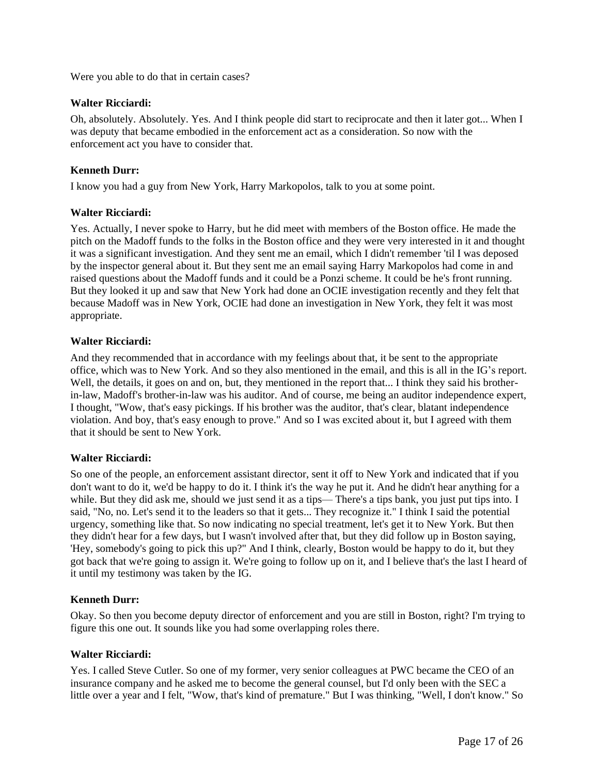Were you able to do that in certain cases?

### **Walter Ricciardi:**

Oh, absolutely. Absolutely. Yes. And I think people did start to reciprocate and then it later got... When I was deputy that became embodied in the enforcement act as a consideration. So now with the enforcement act you have to consider that.

## **Kenneth Durr:**

I know you had a guy from New York, Harry Markopolos, talk to you at some point.

### **Walter Ricciardi:**

Yes. Actually, I never spoke to Harry, but he did meet with members of the Boston office. He made the pitch on the Madoff funds to the folks in the Boston office and they were very interested in it and thought it was a significant investigation. And they sent me an email, which I didn't remember 'til I was deposed by the inspector general about it. But they sent me an email saying Harry Markopolos had come in and raised questions about the Madoff funds and it could be a Ponzi scheme. It could be he's front running. But they looked it up and saw that New York had done an OCIE investigation recently and they felt that because Madoff was in New York, OCIE had done an investigation in New York, they felt it was most appropriate.

### **Walter Ricciardi:**

And they recommended that in accordance with my feelings about that, it be sent to the appropriate office, which was to New York. And so they also mentioned in the email, and this is all in the IG's report. Well, the details, it goes on and on, but, they mentioned in the report that... I think they said his brotherin-law, Madoff's brother-in-law was his auditor. And of course, me being an auditor independence expert, I thought, "Wow, that's easy pickings. If his brother was the auditor, that's clear, blatant independence violation. And boy, that's easy enough to prove." And so I was excited about it, but I agreed with them that it should be sent to New York.

### **Walter Ricciardi:**

So one of the people, an enforcement assistant director, sent it off to New York and indicated that if you don't want to do it, we'd be happy to do it. I think it's the way he put it. And he didn't hear anything for a while. But they did ask me, should we just send it as a tips— There's a tips bank, you just put tips into. I said, "No, no. Let's send it to the leaders so that it gets... They recognize it." I think I said the potential urgency, something like that. So now indicating no special treatment, let's get it to New York. But then they didn't hear for a few days, but I wasn't involved after that, but they did follow up in Boston saying, 'Hey, somebody's going to pick this up?" And I think, clearly, Boston would be happy to do it, but they got back that we're going to assign it. We're going to follow up on it, and I believe that's the last I heard of it until my testimony was taken by the IG.

### **Kenneth Durr:**

Okay. So then you become deputy director of enforcement and you are still in Boston, right? I'm trying to figure this one out. It sounds like you had some overlapping roles there.

### **Walter Ricciardi:**

Yes. I called Steve Cutler. So one of my former, very senior colleagues at PWC became the CEO of an insurance company and he asked me to become the general counsel, but I'd only been with the SEC a little over a year and I felt, "Wow, that's kind of premature." But I was thinking, "Well, I don't know." So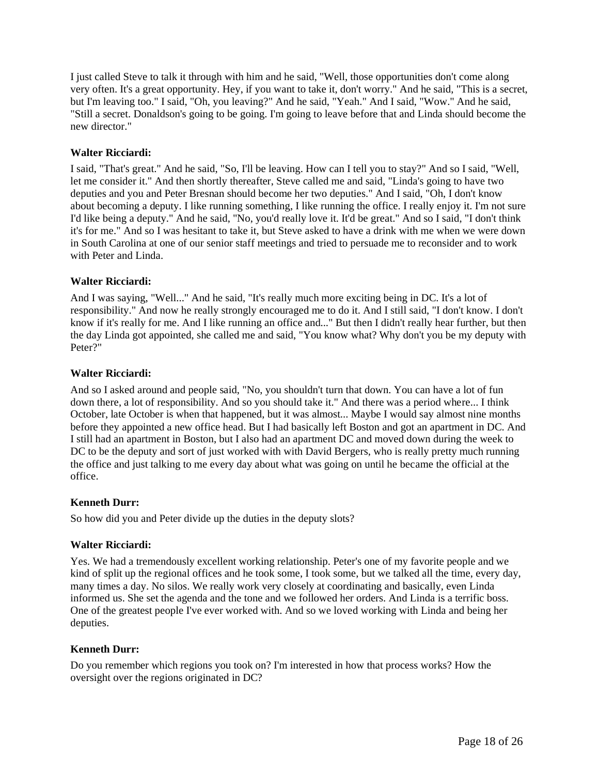I just called Steve to talk it through with him and he said, "Well, those opportunities don't come along very often. It's a great opportunity. Hey, if you want to take it, don't worry." And he said, "This is a secret, but I'm leaving too." I said, "Oh, you leaving?" And he said, "Yeah." And I said, "Wow." And he said, "Still a secret. Donaldson's going to be going. I'm going to leave before that and Linda should become the new director."

### **Walter Ricciardi:**

I said, "That's great." And he said, "So, I'll be leaving. How can I tell you to stay?" And so I said, "Well, let me consider it." And then shortly thereafter, Steve called me and said, "Linda's going to have two deputies and you and Peter Bresnan should become her two deputies." And I said, "Oh, I don't know about becoming a deputy. I like running something, I like running the office. I really enjoy it. I'm not sure I'd like being a deputy." And he said, "No, you'd really love it. It'd be great." And so I said, "I don't think it's for me." And so I was hesitant to take it, but Steve asked to have a drink with me when we were down in South Carolina at one of our senior staff meetings and tried to persuade me to reconsider and to work with Peter and Linda.

### **Walter Ricciardi:**

And I was saying, "Well..." And he said, "It's really much more exciting being in DC. It's a lot of responsibility." And now he really strongly encouraged me to do it. And I still said, "I don't know. I don't know if it's really for me. And I like running an office and..." But then I didn't really hear further, but then the day Linda got appointed, she called me and said, "You know what? Why don't you be my deputy with Peter?"

### **Walter Ricciardi:**

And so I asked around and people said, "No, you shouldn't turn that down. You can have a lot of fun down there, a lot of responsibility. And so you should take it." And there was a period where... I think October, late October is when that happened, but it was almost... Maybe I would say almost nine months before they appointed a new office head. But I had basically left Boston and got an apartment in DC. And I still had an apartment in Boston, but I also had an apartment DC and moved down during the week to DC to be the deputy and sort of just worked with with David Bergers, who is really pretty much running the office and just talking to me every day about what was going on until he became the official at the office.

### **Kenneth Durr:**

So how did you and Peter divide up the duties in the deputy slots?

## **Walter Ricciardi:**

Yes. We had a tremendously excellent working relationship. Peter's one of my favorite people and we kind of split up the regional offices and he took some, I took some, but we talked all the time, every day, many times a day. No silos. We really work very closely at coordinating and basically, even Linda informed us. She set the agenda and the tone and we followed her orders. And Linda is a terrific boss. One of the greatest people I've ever worked with. And so we loved working with Linda and being her deputies.

### **Kenneth Durr:**

Do you remember which regions you took on? I'm interested in how that process works? How the oversight over the regions originated in DC?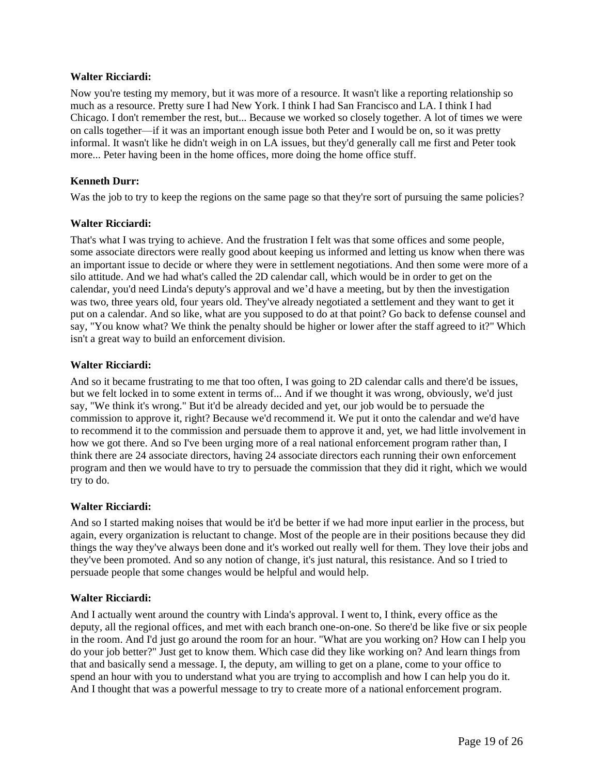#### **Walter Ricciardi:**

Now you're testing my memory, but it was more of a resource. It wasn't like a reporting relationship so much as a resource. Pretty sure I had New York. I think I had San Francisco and LA. I think I had Chicago. I don't remember the rest, but... Because we worked so closely together. A lot of times we were on calls together—if it was an important enough issue both Peter and I would be on, so it was pretty informal. It wasn't like he didn't weigh in on LA issues, but they'd generally call me first and Peter took more... Peter having been in the home offices, more doing the home office stuff.

### **Kenneth Durr:**

Was the job to try to keep the regions on the same page so that they're sort of pursuing the same policies?

### **Walter Ricciardi:**

That's what I was trying to achieve. And the frustration I felt was that some offices and some people, some associate directors were really good about keeping us informed and letting us know when there was an important issue to decide or where they were in settlement negotiations. And then some were more of a silo attitude. And we had what's called the 2D calendar call, which would be in order to get on the calendar, you'd need Linda's deputy's approval and we'd have a meeting, but by then the investigation was two, three years old, four years old. They've already negotiated a settlement and they want to get it put on a calendar. And so like, what are you supposed to do at that point? Go back to defense counsel and say, "You know what? We think the penalty should be higher or lower after the staff agreed to it?" Which isn't a great way to build an enforcement division.

#### **Walter Ricciardi:**

And so it became frustrating to me that too often, I was going to 2D calendar calls and there'd be issues, but we felt locked in to some extent in terms of... And if we thought it was wrong, obviously, we'd just say, "We think it's wrong." But it'd be already decided and yet, our job would be to persuade the commission to approve it, right? Because we'd recommend it. We put it onto the calendar and we'd have to recommend it to the commission and persuade them to approve it and, yet, we had little involvement in how we got there. And so I've been urging more of a real national enforcement program rather than, I think there are 24 associate directors, having 24 associate directors each running their own enforcement program and then we would have to try to persuade the commission that they did it right, which we would try to do.

### **Walter Ricciardi:**

And so I started making noises that would be it'd be better if we had more input earlier in the process, but again, every organization is reluctant to change. Most of the people are in their positions because they did things the way they've always been done and it's worked out really well for them. They love their jobs and they've been promoted. And so any notion of change, it's just natural, this resistance. And so I tried to persuade people that some changes would be helpful and would help.

### **Walter Ricciardi:**

And I actually went around the country with Linda's approval. I went to, I think, every office as the deputy, all the regional offices, and met with each branch one-on-one. So there'd be like five or six people in the room. And I'd just go around the room for an hour. "What are you working on? How can I help you do your job better?" Just get to know them. Which case did they like working on? And learn things from that and basically send a message. I, the deputy, am willing to get on a plane, come to your office to spend an hour with you to understand what you are trying to accomplish and how I can help you do it. And I thought that was a powerful message to try to create more of a national enforcement program.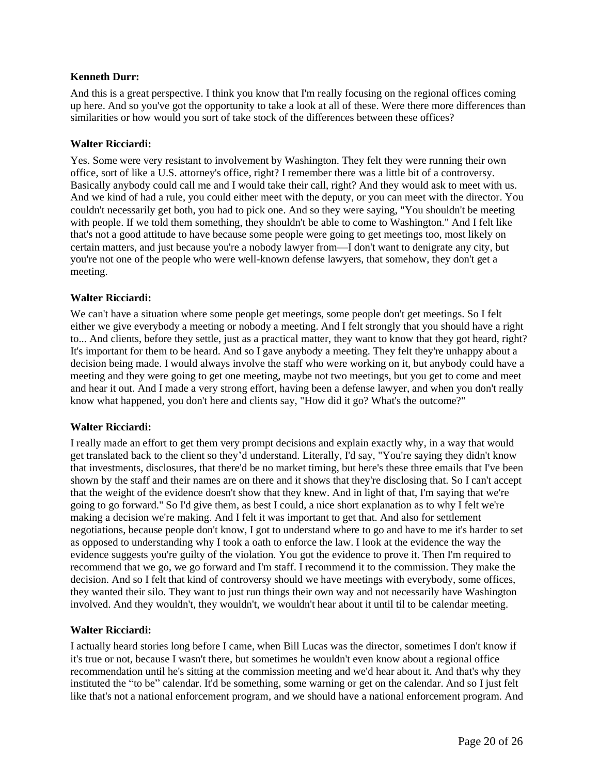And this is a great perspective. I think you know that I'm really focusing on the regional offices coming up here. And so you've got the opportunity to take a look at all of these. Were there more differences than similarities or how would you sort of take stock of the differences between these offices?

#### **Walter Ricciardi:**

Yes. Some were very resistant to involvement by Washington. They felt they were running their own office, sort of like a U.S. attorney's office, right? I remember there was a little bit of a controversy. Basically anybody could call me and I would take their call, right? And they would ask to meet with us. And we kind of had a rule, you could either meet with the deputy, or you can meet with the director. You couldn't necessarily get both, you had to pick one. And so they were saying, "You shouldn't be meeting with people. If we told them something, they shouldn't be able to come to Washington." And I felt like that's not a good attitude to have because some people were going to get meetings too, most likely on certain matters, and just because you're a nobody lawyer from—I don't want to denigrate any city, but you're not one of the people who were well-known defense lawyers, that somehow, they don't get a meeting.

#### **Walter Ricciardi:**

We can't have a situation where some people get meetings, some people don't get meetings. So I felt either we give everybody a meeting or nobody a meeting. And I felt strongly that you should have a right to... And clients, before they settle, just as a practical matter, they want to know that they got heard, right? It's important for them to be heard. And so I gave anybody a meeting. They felt they're unhappy about a decision being made. I would always involve the staff who were working on it, but anybody could have a meeting and they were going to get one meeting, maybe not two meetings, but you get to come and meet and hear it out. And I made a very strong effort, having been a defense lawyer, and when you don't really know what happened, you don't here and clients say, "How did it go? What's the outcome?"

### **Walter Ricciardi:**

I really made an effort to get them very prompt decisions and explain exactly why, in a way that would get translated back to the client so they'd understand. Literally, I'd say, "You're saying they didn't know that investments, disclosures, that there'd be no market timing, but here's these three emails that I've been shown by the staff and their names are on there and it shows that they're disclosing that. So I can't accept that the weight of the evidence doesn't show that they knew. And in light of that, I'm saying that we're going to go forward." So I'd give them, as best I could, a nice short explanation as to why I felt we're making a decision we're making. And I felt it was important to get that. And also for settlement negotiations, because people don't know, I got to understand where to go and have to me it's harder to set as opposed to understanding why I took a oath to enforce the law. I look at the evidence the way the evidence suggests you're guilty of the violation. You got the evidence to prove it. Then I'm required to recommend that we go, we go forward and I'm staff. I recommend it to the commission. They make the decision. And so I felt that kind of controversy should we have meetings with everybody, some offices, they wanted their silo. They want to just run things their own way and not necessarily have Washington involved. And they wouldn't, they wouldn't, we wouldn't hear about it until til to be calendar meeting.

### **Walter Ricciardi:**

I actually heard stories long before I came, when Bill Lucas was the director, sometimes I don't know if it's true or not, because I wasn't there, but sometimes he wouldn't even know about a regional office recommendation until he's sitting at the commission meeting and we'd hear about it. And that's why they instituted the "to be" calendar. It'd be something, some warning or get on the calendar. And so I just felt like that's not a national enforcement program, and we should have a national enforcement program. And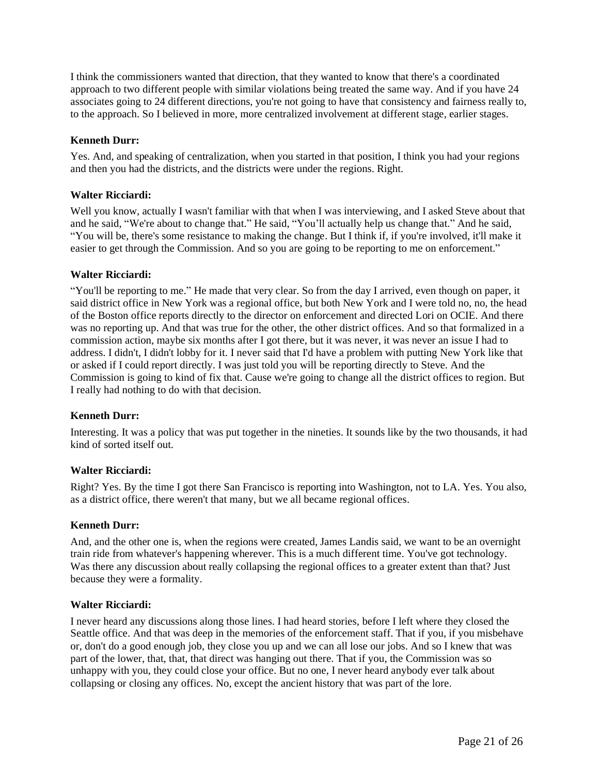I think the commissioners wanted that direction, that they wanted to know that there's a coordinated approach to two different people with similar violations being treated the same way. And if you have 24 associates going to 24 different directions, you're not going to have that consistency and fairness really to, to the approach. So I believed in more, more centralized involvement at different stage, earlier stages.

## **Kenneth Durr:**

Yes. And, and speaking of centralization, when you started in that position, I think you had your regions and then you had the districts, and the districts were under the regions. Right.

## **Walter Ricciardi:**

Well you know, actually I wasn't familiar with that when I was interviewing, and I asked Steve about that and he said, "We're about to change that." He said, "You'll actually help us change that." And he said, "You will be, there's some resistance to making the change. But I think if, if you're involved, it'll make it easier to get through the Commission. And so you are going to be reporting to me on enforcement."

## **Walter Ricciardi:**

"You'll be reporting to me." He made that very clear. So from the day I arrived, even though on paper, it said district office in New York was a regional office, but both New York and I were told no, no, the head of the Boston office reports directly to the director on enforcement and directed Lori on OCIE. And there was no reporting up. And that was true for the other, the other district offices. And so that formalized in a commission action, maybe six months after I got there, but it was never, it was never an issue I had to address. I didn't, I didn't lobby for it. I never said that I'd have a problem with putting New York like that or asked if I could report directly. I was just told you will be reporting directly to Steve. And the Commission is going to kind of fix that. Cause we're going to change all the district offices to region. But I really had nothing to do with that decision.

### **Kenneth Durr:**

Interesting. It was a policy that was put together in the nineties. It sounds like by the two thousands, it had kind of sorted itself out.

### **Walter Ricciardi:**

Right? Yes. By the time I got there San Francisco is reporting into Washington, not to LA. Yes. You also, as a district office, there weren't that many, but we all became regional offices.

### **Kenneth Durr:**

And, and the other one is, when the regions were created, James Landis said, we want to be an overnight train ride from whatever's happening wherever. This is a much different time. You've got technology. Was there any discussion about really collapsing the regional offices to a greater extent than that? Just because they were a formality.

### **Walter Ricciardi:**

I never heard any discussions along those lines. I had heard stories, before I left where they closed the Seattle office. And that was deep in the memories of the enforcement staff. That if you, if you misbehave or, don't do a good enough job, they close you up and we can all lose our jobs. And so I knew that was part of the lower, that, that, that direct was hanging out there. That if you, the Commission was so unhappy with you, they could close your office. But no one, I never heard anybody ever talk about collapsing or closing any offices. No, except the ancient history that was part of the lore.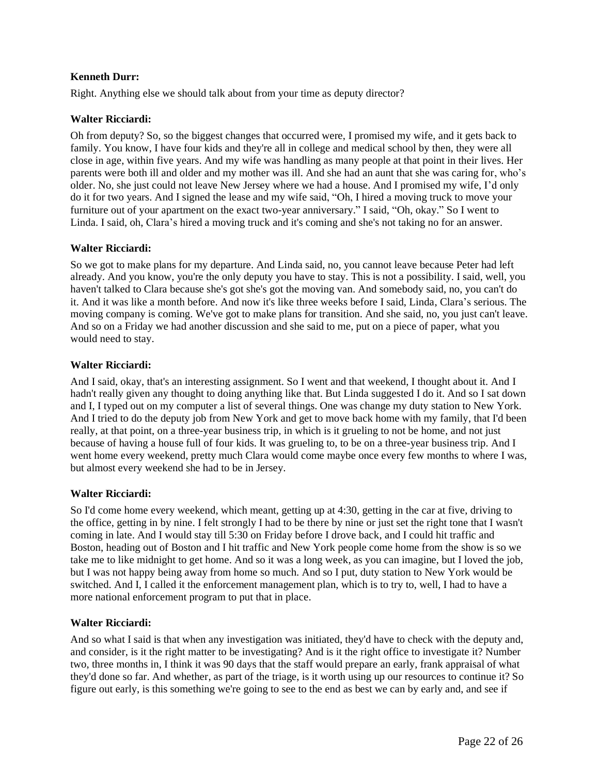Right. Anything else we should talk about from your time as deputy director?

## **Walter Ricciardi:**

Oh from deputy? So, so the biggest changes that occurred were, I promised my wife, and it gets back to family. You know, I have four kids and they're all in college and medical school by then, they were all close in age, within five years. And my wife was handling as many people at that point in their lives. Her parents were both ill and older and my mother was ill. And she had an aunt that she was caring for, who's older. No, she just could not leave New Jersey where we had a house. And I promised my wife, I'd only do it for two years. And I signed the lease and my wife said, "Oh, I hired a moving truck to move your furniture out of your apartment on the exact two-year anniversary." I said, "Oh, okay." So I went to Linda. I said, oh, Clara's hired a moving truck and it's coming and she's not taking no for an answer.

### **Walter Ricciardi:**

So we got to make plans for my departure. And Linda said, no, you cannot leave because Peter had left already. And you know, you're the only deputy you have to stay. This is not a possibility. I said, well, you haven't talked to Clara because she's got she's got the moving van. And somebody said, no, you can't do it. And it was like a month before. And now it's like three weeks before I said, Linda, Clara's serious. The moving company is coming. We've got to make plans for transition. And she said, no, you just can't leave. And so on a Friday we had another discussion and she said to me, put on a piece of paper, what you would need to stay.

## **Walter Ricciardi:**

And I said, okay, that's an interesting assignment. So I went and that weekend, I thought about it. And I hadn't really given any thought to doing anything like that. But Linda suggested I do it. And so I sat down and I, I typed out on my computer a list of several things. One was change my duty station to New York. And I tried to do the deputy job from New York and get to move back home with my family, that I'd been really, at that point, on a three-year business trip, in which is it grueling to not be home, and not just because of having a house full of four kids. It was grueling to, to be on a three-year business trip. And I went home every weekend, pretty much Clara would come maybe once every few months to where I was, but almost every weekend she had to be in Jersey.

### **Walter Ricciardi:**

So I'd come home every weekend, which meant, getting up at 4:30, getting in the car at five, driving to the office, getting in by nine. I felt strongly I had to be there by nine or just set the right tone that I wasn't coming in late. And I would stay till 5:30 on Friday before I drove back, and I could hit traffic and Boston, heading out of Boston and I hit traffic and New York people come home from the show is so we take me to like midnight to get home. And so it was a long week, as you can imagine, but I loved the job, but I was not happy being away from home so much. And so I put, duty station to New York would be switched. And I, I called it the enforcement management plan, which is to try to, well, I had to have a more national enforcement program to put that in place.

### **Walter Ricciardi:**

And so what I said is that when any investigation was initiated, they'd have to check with the deputy and, and consider, is it the right matter to be investigating? And is it the right office to investigate it? Number two, three months in, I think it was 90 days that the staff would prepare an early, frank appraisal of what they'd done so far. And whether, as part of the triage, is it worth using up our resources to continue it? So figure out early, is this something we're going to see to the end as best we can by early and, and see if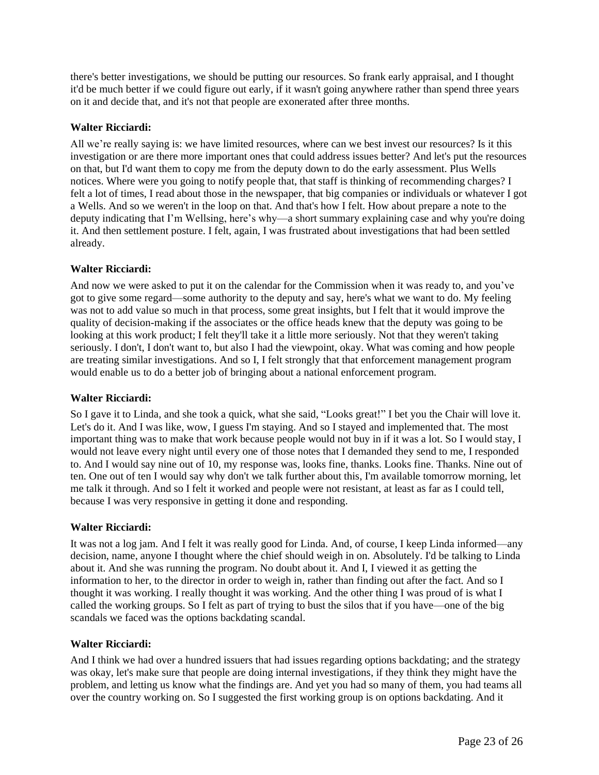there's better investigations, we should be putting our resources. So frank early appraisal, and I thought it'd be much better if we could figure out early, if it wasn't going anywhere rather than spend three years on it and decide that, and it's not that people are exonerated after three months.

### **Walter Ricciardi:**

All we're really saying is: we have limited resources, where can we best invest our resources? Is it this investigation or are there more important ones that could address issues better? And let's put the resources on that, but I'd want them to copy me from the deputy down to do the early assessment. Plus Wells notices. Where were you going to notify people that, that staff is thinking of recommending charges? I felt a lot of times, I read about those in the newspaper, that big companies or individuals or whatever I got a Wells. And so we weren't in the loop on that. And that's how I felt. How about prepare a note to the deputy indicating that I'm Wellsing, here's why—a short summary explaining case and why you're doing it. And then settlement posture. I felt, again, I was frustrated about investigations that had been settled already.

### **Walter Ricciardi:**

And now we were asked to put it on the calendar for the Commission when it was ready to, and you've got to give some regard—some authority to the deputy and say, here's what we want to do. My feeling was not to add value so much in that process, some great insights, but I felt that it would improve the quality of decision-making if the associates or the office heads knew that the deputy was going to be looking at this work product; I felt they'll take it a little more seriously. Not that they weren't taking seriously. I don't, I don't want to, but also I had the viewpoint, okay. What was coming and how people are treating similar investigations. And so I, I felt strongly that that enforcement management program would enable us to do a better job of bringing about a national enforcement program.

### **Walter Ricciardi:**

So I gave it to Linda, and she took a quick, what she said, "Looks great!" I bet you the Chair will love it. Let's do it. And I was like, wow, I guess I'm staying. And so I stayed and implemented that. The most important thing was to make that work because people would not buy in if it was a lot. So I would stay, I would not leave every night until every one of those notes that I demanded they send to me, I responded to. And I would say nine out of 10, my response was, looks fine, thanks. Looks fine. Thanks. Nine out of ten. One out of ten I would say why don't we talk further about this, I'm available tomorrow morning, let me talk it through. And so I felt it worked and people were not resistant, at least as far as I could tell, because I was very responsive in getting it done and responding.

### **Walter Ricciardi:**

It was not a log jam. And I felt it was really good for Linda. And, of course, I keep Linda informed—any decision, name, anyone I thought where the chief should weigh in on. Absolutely. I'd be talking to Linda about it. And she was running the program. No doubt about it. And I, I viewed it as getting the information to her, to the director in order to weigh in, rather than finding out after the fact. And so I thought it was working. I really thought it was working. And the other thing I was proud of is what I called the working groups. So I felt as part of trying to bust the silos that if you have—one of the big scandals we faced was the options backdating scandal.

### **Walter Ricciardi:**

And I think we had over a hundred issuers that had issues regarding options backdating; and the strategy was okay, let's make sure that people are doing internal investigations, if they think they might have the problem, and letting us know what the findings are. And yet you had so many of them, you had teams all over the country working on. So I suggested the first working group is on options backdating. And it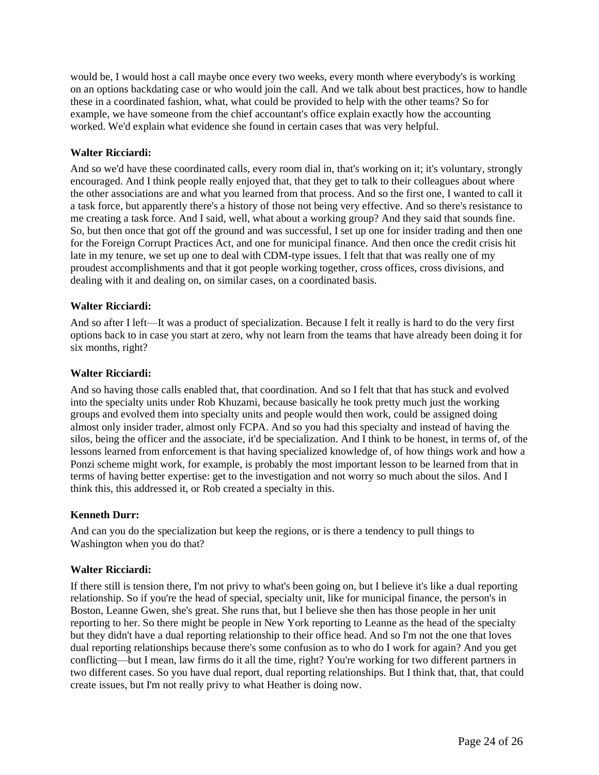would be, I would host a call maybe once every two weeks, every month where everybody's is working on an options backdating case or who would join the call. And we talk about best practices, how to handle these in a coordinated fashion, what, what could be provided to help with the other teams? So for example, we have someone from the chief accountant's office explain exactly how the accounting worked. We'd explain what evidence she found in certain cases that was very helpful.

### **Walter Ricciardi:**

And so we'd have these coordinated calls, every room dial in, that's working on it; it's voluntary, strongly encouraged. And I think people really enjoyed that, that they get to talk to their colleagues about where the other associations are and what you learned from that process. And so the first one, I wanted to call it a task force, but apparently there's a history of those not being very effective. And so there's resistance to me creating a task force. And I said, well, what about a working group? And they said that sounds fine. So, but then once that got off the ground and was successful, I set up one for insider trading and then one for the Foreign Corrupt Practices Act, and one for municipal finance. And then once the credit crisis hit late in my tenure, we set up one to deal with CDM-type issues. I felt that that was really one of my proudest accomplishments and that it got people working together, cross offices, cross divisions, and dealing with it and dealing on, on similar cases, on a coordinated basis.

## **Walter Ricciardi:**

And so after I left—It was a product of specialization. Because I felt it really is hard to do the very first options back to in case you start at zero, why not learn from the teams that have already been doing it for six months, right?

### **Walter Ricciardi:**

And so having those calls enabled that, that coordination. And so I felt that that has stuck and evolved into the specialty units under Rob Khuzami, because basically he took pretty much just the working groups and evolved them into specialty units and people would then work, could be assigned doing almost only insider trader, almost only FCPA. And so you had this specialty and instead of having the silos, being the officer and the associate, it'd be specialization. And I think to be honest, in terms of, of the lessons learned from enforcement is that having specialized knowledge of, of how things work and how a Ponzi scheme might work, for example, is probably the most important lesson to be learned from that in terms of having better expertise: get to the investigation and not worry so much about the silos. And I think this, this addressed it, or Rob created a specialty in this.

## **Kenneth Durr:**

And can you do the specialization but keep the regions, or is there a tendency to pull things to Washington when you do that?

### **Walter Ricciardi:**

If there still is tension there, I'm not privy to what's been going on, but I believe it's like a dual reporting relationship. So if you're the head of special, specialty unit, like for municipal finance, the person's in Boston, Leanne Gwen, she's great. She runs that, but I believe she then has those people in her unit reporting to her. So there might be people in New York reporting to Leanne as the head of the specialty but they didn't have a dual reporting relationship to their office head. And so I'm not the one that loves dual reporting relationships because there's some confusion as to who do I work for again? And you get conflicting—but I mean, law firms do it all the time, right? You're working for two different partners in two different cases. So you have dual report, dual reporting relationships. But I think that, that, that could create issues, but I'm not really privy to what Heather is doing now.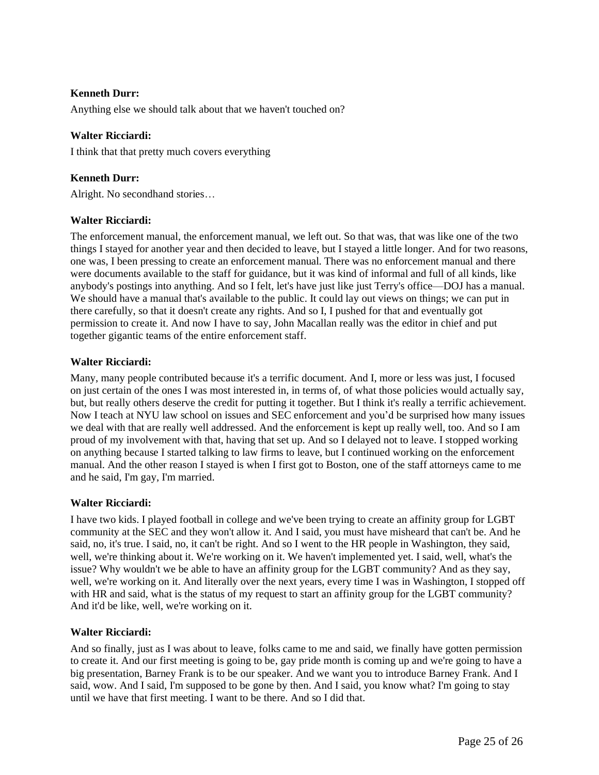Anything else we should talk about that we haven't touched on?

### **Walter Ricciardi:**

I think that that pretty much covers everything

## **Kenneth Durr:**

Alright. No secondhand stories…

### **Walter Ricciardi:**

The enforcement manual, the enforcement manual, we left out. So that was, that was like one of the two things I stayed for another year and then decided to leave, but I stayed a little longer. And for two reasons, one was, I been pressing to create an enforcement manual. There was no enforcement manual and there were documents available to the staff for guidance, but it was kind of informal and full of all kinds, like anybody's postings into anything. And so I felt, let's have just like just Terry's office—DOJ has a manual. We should have a manual that's available to the public. It could lay out views on things; we can put in there carefully, so that it doesn't create any rights. And so I, I pushed for that and eventually got permission to create it. And now I have to say, John Macallan really was the editor in chief and put together gigantic teams of the entire enforcement staff.

### **Walter Ricciardi:**

Many, many people contributed because it's a terrific document. And I, more or less was just, I focused on just certain of the ones I was most interested in, in terms of, of what those policies would actually say, but, but really others deserve the credit for putting it together. But I think it's really a terrific achievement. Now I teach at NYU law school on issues and SEC enforcement and you'd be surprised how many issues we deal with that are really well addressed. And the enforcement is kept up really well, too. And so I am proud of my involvement with that, having that set up. And so I delayed not to leave. I stopped working on anything because I started talking to law firms to leave, but I continued working on the enforcement manual. And the other reason I stayed is when I first got to Boston, one of the staff attorneys came to me and he said, I'm gay, I'm married.

### **Walter Ricciardi:**

I have two kids. I played football in college and we've been trying to create an affinity group for LGBT community at the SEC and they won't allow it. And I said, you must have misheard that can't be. And he said, no, it's true. I said, no, it can't be right. And so I went to the HR people in Washington, they said, well, we're thinking about it. We're working on it. We haven't implemented yet. I said, well, what's the issue? Why wouldn't we be able to have an affinity group for the LGBT community? And as they say, well, we're working on it. And literally over the next years, every time I was in Washington, I stopped off with HR and said, what is the status of my request to start an affinity group for the LGBT community? And it'd be like, well, we're working on it.

### **Walter Ricciardi:**

And so finally, just as I was about to leave, folks came to me and said, we finally have gotten permission to create it. And our first meeting is going to be, gay pride month is coming up and we're going to have a big presentation, Barney Frank is to be our speaker. And we want you to introduce Barney Frank. And I said, wow. And I said, I'm supposed to be gone by then. And I said, you know what? I'm going to stay until we have that first meeting. I want to be there. And so I did that.